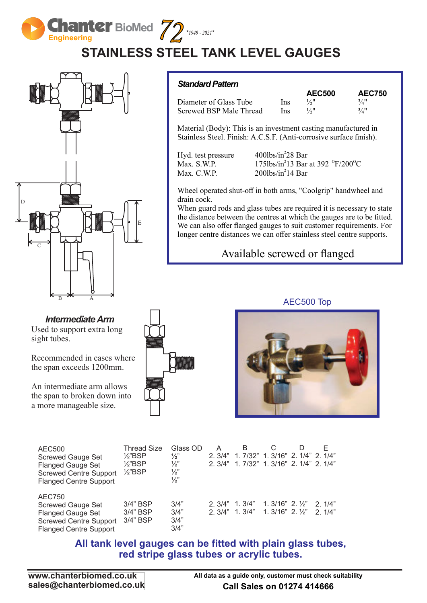**Engineering**   $\sum_{n=1}^{\infty}$  *Z*  $*_{1949}.2021*$ 

**BioMed**

# **STAINLESS STEEL TANK LEVEL GAUGES**



#### *Intermediate Arm*

Used to support extra long sight tubes.

Recommended in cases where the span exceeds 1200mm.

An intermediate arm allows the span to broken down into a more manageable size.

| I<br>$\sim$ | $\sim$ $-$ | $\sim$ |
|-------------|------------|--------|
|             |            |        |
|             |            |        |
|             |            |        |
|             |            |        |
|             |            |        |
|             |            |        |

*Standard Pattern*

|                         |      | <b>AEC500</b> | <b>AEC750</b>       |
|-------------------------|------|---------------|---------------------|
| Diameter of Glass Tube  | Ins  | 1/2           | $3/4$ <sup>11</sup> |
| Screwed BSP Male Thread | Ins. | 1/2''         | 3/4"                |

Material (Body): This is an investment casting manufactured in Stainless Steel. Finish: A.C.S.F. (Anti-corrosive surface finish).

Hyd. test pressure  $400\text{lbs/in}^2$  Bar Max. C.W.P.  $200\frac{\text{lbs}}{\text{in}^2}14\text{ Bar}$ 

Max. S.W.P.  $175\text{lbs/in}^213 \text{ Bar at } 392 \text{ }^{\circ}\text{F}/200\text{ }^{\circ}\text{C}$ 

Wheel operated shut-off in both arms, "Coolgrip" handwheel and drain cock.

When guard rods and glass tubes are required it is necessary to state the distance between the centres at which the gauges are to be fitted. We can also offer flanged gauges to suit customer requirements. For longer centre distances we can offer stainless steel centre supports.

### Available screwed or flanged



AEC500 Top



| AEC500                        | <b>Thread Size</b> | Glass OD      |        | B                                 |                              | D | F               |
|-------------------------------|--------------------|---------------|--------|-----------------------------------|------------------------------|---|-----------------|
| <b>Screwed Gauge Set</b>      | $\frac{1}{2}$ BSP  | $\frac{1}{2}$ | 2.3/4" | 1. 7/32" 1. 3/16" 2. 1/4" 2. 1/4" |                              |   |                 |
| <b>Flanged Gauge Set</b>      | $\frac{1}{2}$ "BSP | $\frac{1}{2}$ | 2.3/4" | 1. 7/32" 1. 3/16" 2. 1/4" 2. 1/4" |                              |   |                 |
| <b>Screwed Centre Support</b> | $\frac{1}{2}$ "BSP | $\frac{1}{2}$ |        |                                   |                              |   |                 |
| <b>Flanged Centre Support</b> |                    | $\frac{1}{2}$ |        |                                   |                              |   |                 |
|                               |                    |               |        |                                   |                              |   |                 |
| AEC750                        |                    |               |        |                                   |                              |   |                 |
| <b>Screwed Gauge Set</b>      | $3/4"$ BSP         | 3/4"          | 2.3/4" | 1. 3/4"                           | 1. $3/16"$ 2. $\frac{1}{2}"$ |   | $2 \frac{1}{4}$ |
| <b>Flanged Gauge Set</b>      | $3/4"$ BSP         | 3/4"          | 2.3/4" | 1.3/4"                            | 1. $3/16"$ 2. $\frac{1}{2}"$ |   | $2 \frac{1}{4}$ |
| <b>Screwed Centre Support</b> | $3/4"$ BSP         | 3/4"          |        |                                   |                              |   |                 |
|                               |                    |               |        |                                   |                              |   |                 |

#### **All tank level gauges can be fitted with plain glass tubes, red stripe glass tubes or acrylic tubes.**